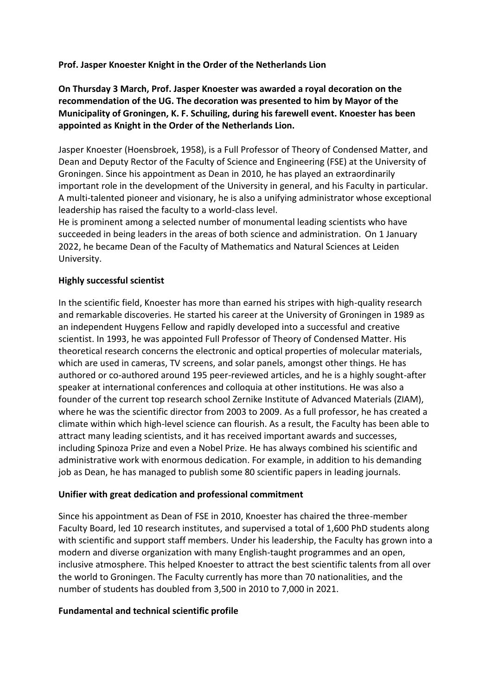### **Prof. Jasper Knoester Knight in the Order of the Netherlands Lion**

**On Thursday 3 March, Prof. Jasper Knoester was awarded a royal decoration on the recommendation of the UG. The decoration was presented to him by Mayor of the Municipality of Groningen, K. F. Schuiling, during his farewell event. Knoester has been appointed as Knight in the Order of the Netherlands Lion.**

Jasper Knoester (Hoensbroek, 1958), is a Full Professor of Theory of Condensed Matter, and Dean and Deputy Rector of the Faculty of Science and Engineering (FSE) at the University of Groningen. Since his appointment as Dean in 2010, he has played an extraordinarily important role in the development of the University in general, and his Faculty in particular. A multi-talented pioneer and visionary, he is also a unifying administrator whose exceptional leadership has raised the faculty to a world-class level.

He is prominent among a selected number of monumental leading scientists who have succeeded in being leaders in the areas of both science and administration. On 1 January 2022, he became Dean of the Faculty of Mathematics and Natural Sciences at Leiden University.

### **Highly successful scientist**

In the scientific field, Knoester has more than earned his stripes with high-quality research and remarkable discoveries. He started his career at the University of Groningen in 1989 as an independent Huygens Fellow and rapidly developed into a successful and creative scientist. In 1993, he was appointed Full Professor of Theory of Condensed Matter. His theoretical research concerns the electronic and optical properties of molecular materials, which are used in cameras, TV screens, and solar panels, amongst other things. He has authored or co-authored around 195 peer-reviewed articles, and he is a highly sought-after speaker at international conferences and colloquia at other institutions. He was also a founder of the current top research school Zernike Institute of Advanced Materials (ZIAM), where he was the scientific director from 2003 to 2009. As a full professor, he has created a climate within which high-level science can flourish. As a result, the Faculty has been able to attract many leading scientists, and it has received important awards and successes, including Spinoza Prize and even a Nobel Prize. He has always combined his scientific and administrative work with enormous dedication. For example, in addition to his demanding job as Dean, he has managed to publish some 80 scientific papers in leading journals.

#### **Unifier with great dedication and professional commitment**

Since his appointment as Dean of FSE in 2010, Knoester has chaired the three-member Faculty Board, led 10 research institutes, and supervised a total of 1,600 PhD students along with scientific and support staff members. Under his leadership, the Faculty has grown into a modern and diverse organization with many English-taught programmes and an open, inclusive atmosphere. This helped Knoester to attract the best scientific talents from all over the world to Groningen. The Faculty currently has more than 70 nationalities, and the number of students has doubled from 3,500 in 2010 to 7,000 in 2021.

#### **Fundamental and technical scientific profile**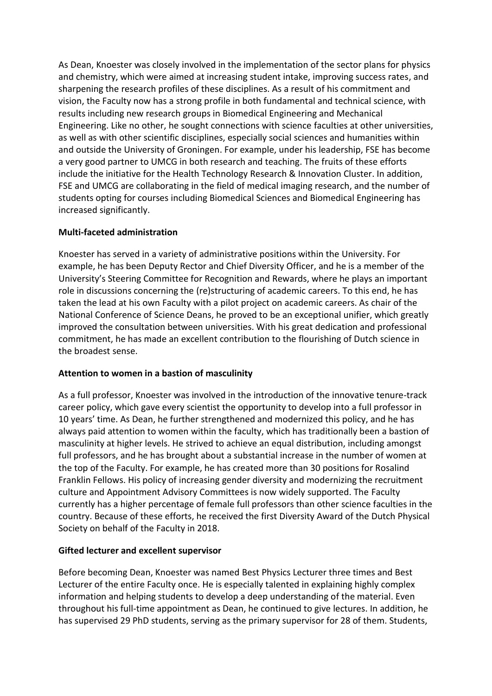As Dean, Knoester was closely involved in the implementation of the sector plans for physics and chemistry, which were aimed at increasing student intake, improving success rates, and sharpening the research profiles of these disciplines. As a result of his commitment and vision, the Faculty now has a strong profile in both fundamental and technical science, with results including new research groups in Biomedical Engineering and Mechanical Engineering. Like no other, he sought connections with science faculties at other universities, as well as with other scientific disciplines, especially social sciences and humanities within and outside the University of Groningen. For example, under his leadership, FSE has become a very good partner to UMCG in both research and teaching. The fruits of these efforts include the initiative for the Health Technology Research & Innovation Cluster. In addition, FSE and UMCG are collaborating in the field of medical imaging research, and the number of students opting for courses including Biomedical Sciences and Biomedical Engineering has increased significantly.

# **Multi-faceted administration**

Knoester has served in a variety of administrative positions within the University. For example, he has been Deputy Rector and Chief Diversity Officer, and he is a member of the University's Steering Committee for Recognition and Rewards, where he plays an important role in discussions concerning the (re)structuring of academic careers. To this end, he has taken the lead at his own Faculty with a pilot project on academic careers. As chair of the National Conference of Science Deans, he proved to be an exceptional unifier, which greatly improved the consultation between universities. With his great dedication and professional commitment, he has made an excellent contribution to the flourishing of Dutch science in the broadest sense.

# **Attention to women in a bastion of masculinity**

As a full professor, Knoester was involved in the introduction of the innovative tenure-track career policy, which gave every scientist the opportunity to develop into a full professor in 10 years' time. As Dean, he further strengthened and modernized this policy, and he has always paid attention to women within the faculty, which has traditionally been a bastion of masculinity at higher levels. He strived to achieve an equal distribution, including amongst full professors, and he has brought about a substantial increase in the number of women at the top of the Faculty. For example, he has created more than 30 positions for Rosalind Franklin Fellows. His policy of increasing gender diversity and modernizing the recruitment culture and Appointment Advisory Committees is now widely supported. The Faculty currently has a higher percentage of female full professors than other science faculties in the country. Because of these efforts, he received the first Diversity Award of the Dutch Physical Society on behalf of the Faculty in 2018.

# **Gifted lecturer and excellent supervisor**

Before becoming Dean, Knoester was named Best Physics Lecturer three times and Best Lecturer of the entire Faculty once. He is especially talented in explaining highly complex information and helping students to develop a deep understanding of the material. Even throughout his full-time appointment as Dean, he continued to give lectures. In addition, he has supervised 29 PhD students, serving as the primary supervisor for 28 of them. Students,